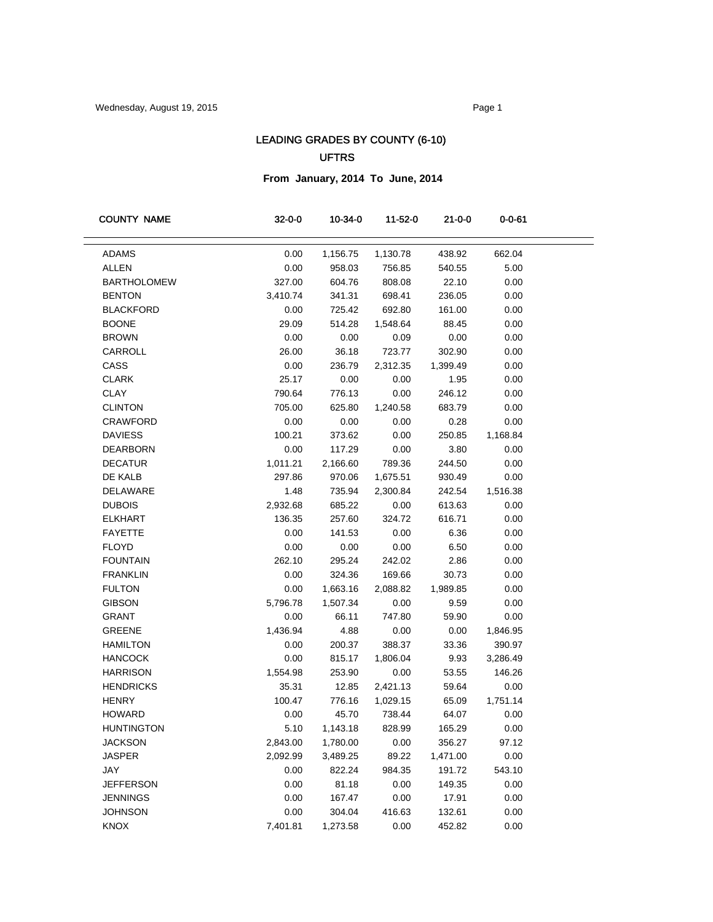## LEADING GRADES BY COUNTY (6-10) UFTRS

**From January, 2014 To June, 2014**

| <b>COUNTY NAME</b> | $32 - 0 - 0$ | 10-34-0  | 11-52-0  | $21 - 0 - 0$ | $0 - 0 - 61$ |  |
|--------------------|--------------|----------|----------|--------------|--------------|--|
|                    |              |          |          |              |              |  |
| <b>ADAMS</b>       | 0.00         | 1,156.75 | 1,130.78 | 438.92       | 662.04       |  |
| <b>ALLEN</b>       | 0.00         | 958.03   | 756.85   | 540.55       | 5.00         |  |
| <b>BARTHOLOMEW</b> | 327.00       | 604.76   | 808.08   | 22.10        | 0.00         |  |
| <b>BENTON</b>      | 3,410.74     | 341.31   | 698.41   | 236.05       | 0.00         |  |
| <b>BLACKFORD</b>   | 0.00         | 725.42   | 692.80   | 161.00       | 0.00         |  |
| <b>BOONE</b>       | 29.09        | 514.28   | 1,548.64 | 88.45        | 0.00         |  |
| <b>BROWN</b>       | 0.00         | 0.00     | 0.09     | 0.00         | 0.00         |  |
| <b>CARROLL</b>     | 26.00        | 36.18    | 723.77   | 302.90       | 0.00         |  |
| CASS               | 0.00         | 236.79   | 2,312.35 | 1,399.49     | 0.00         |  |
| <b>CLARK</b>       | 25.17        | 0.00     | 0.00     | 1.95         | 0.00         |  |
| <b>CLAY</b>        | 790.64       | 776.13   | 0.00     | 246.12       | 0.00         |  |
| <b>CLINTON</b>     | 705.00       | 625.80   | 1,240.58 | 683.79       | 0.00         |  |
| <b>CRAWFORD</b>    | 0.00         | 0.00     | 0.00     | 0.28         | 0.00         |  |
| <b>DAVIESS</b>     | 100.21       | 373.62   | 0.00     | 250.85       | 1,168.84     |  |
| <b>DEARBORN</b>    | 0.00         | 117.29   | 0.00     | 3.80         | 0.00         |  |
| <b>DECATUR</b>     | 1,011.21     | 2,166.60 | 789.36   | 244.50       | 0.00         |  |
| DE KALB            | 297.86       | 970.06   | 1,675.51 | 930.49       | 0.00         |  |
| DELAWARE           | 1.48         | 735.94   | 2,300.84 | 242.54       | 1,516.38     |  |
| <b>DUBOIS</b>      | 2,932.68     | 685.22   | 0.00     | 613.63       | 0.00         |  |
| <b>ELKHART</b>     | 136.35       | 257.60   | 324.72   | 616.71       | 0.00         |  |
| <b>FAYETTE</b>     | 0.00         | 141.53   | 0.00     | 6.36         | 0.00         |  |
| <b>FLOYD</b>       | 0.00         | 0.00     | 0.00     | 6.50         | 0.00         |  |
| <b>FOUNTAIN</b>    | 262.10       | 295.24   | 242.02   | 2.86         | 0.00         |  |
| <b>FRANKLIN</b>    | 0.00         | 324.36   | 169.66   | 30.73        | 0.00         |  |
| <b>FULTON</b>      | 0.00         | 1,663.16 | 2,088.82 | 1,989.85     | 0.00         |  |
| <b>GIBSON</b>      | 5,796.78     | 1,507.34 | 0.00     | 9.59         | 0.00         |  |
| <b>GRANT</b>       | 0.00         | 66.11    | 747.80   | 59.90        | 0.00         |  |
| <b>GREENE</b>      | 1,436.94     | 4.88     | 0.00     | 0.00         | 1,846.95     |  |
| <b>HAMILTON</b>    | 0.00         | 200.37   | 388.37   | 33.36        | 390.97       |  |
| <b>HANCOCK</b>     | 0.00         | 815.17   | 1,806.04 | 9.93         | 3,286.49     |  |
| <b>HARRISON</b>    | 1,554.98     | 253.90   | 0.00     | 53.55        | 146.26       |  |
| <b>HENDRICKS</b>   | 35.31        | 12.85    | 2,421.13 | 59.64        | 0.00         |  |
| <b>HENRY</b>       | 100.47       | 776.16   | 1,029.15 | 65.09        | 1,751.14     |  |
| <b>HOWARD</b>      | 0.00         | 45.70    | 738.44   | 64.07        | 0.00         |  |
| <b>HUNTINGTON</b>  | 5.10         | 1,143.18 | 828.99   | 165.29       | 0.00         |  |
| <b>JACKSON</b>     | 2,843.00     | 1,780.00 | 0.00     | 356.27       | 97.12        |  |
| <b>JASPER</b>      | 2,092.99     | 3,489.25 | 89.22    | 1,471.00     | 0.00         |  |
| JAY                | 0.00         | 822.24   | 984.35   | 191.72       | 543.10       |  |
| <b>JEFFERSON</b>   | 0.00         | 81.18    | 0.00     | 149.35       | 0.00         |  |
| <b>JENNINGS</b>    | 0.00         | 167.47   | 0.00     | 17.91        | 0.00         |  |
| <b>JOHNSON</b>     | 0.00         | 304.04   | 416.63   | 132.61       | 0.00         |  |
| <b>KNOX</b>        | 7,401.81     | 1,273.58 | 0.00     | 452.82       | 0.00         |  |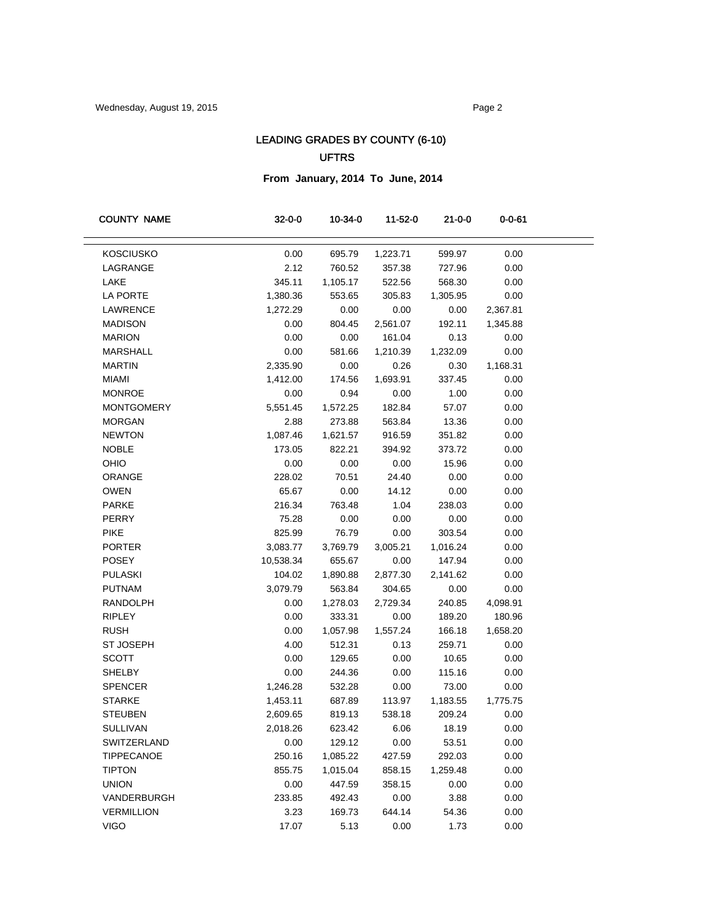## LEADING GRADES BY COUNTY (6-10) UFTRS

**From January, 2014 To June, 2014**

| 0.00<br><b>KOSCIUSKO</b><br>695.79<br>1,223.71<br>599.97<br>0.00<br>LAGRANGE<br>2.12<br>760.52<br>0.00<br>357.38<br>727.96<br>LAKE<br>1,105.17<br>0.00<br>345.11<br>522.56<br>568.30<br><b>LA PORTE</b><br>1,380.36<br>553.65<br>305.83<br>1,305.95<br>0.00<br>LAWRENCE<br>1,272.29<br>0.00<br>0.00<br>0.00<br>2,367.81<br><b>MADISON</b><br>0.00<br>2,561.07<br>1,345.88<br>804.45<br>192.11<br><b>MARION</b><br>0.00<br>0.00<br>161.04<br>0.00<br>0.13<br><b>MARSHALL</b><br>0.00<br>581.66<br>1,232.09<br>0.00<br>1,210.39<br><b>MARTIN</b><br>2,335.90<br>0.00<br>0.26<br>0.30<br>1,168.31<br><b>MIAMI</b><br>1,412.00<br>1,693.91<br>337.45<br>0.00<br>174.56<br><b>MONROE</b><br>0.00<br>0.94<br>0.00<br>1.00<br>0.00<br><b>MONTGOMERY</b><br>182.84<br>0.00<br>5,551.45<br>1,572.25<br>57.07<br><b>MORGAN</b><br>2.88<br>0.00<br>273.88<br>563.84<br>13.36<br><b>NEWTON</b><br>1,087.46<br>0.00<br>1,621.57<br>916.59<br>351.82<br><b>NOBLE</b><br>173.05<br>822.21<br>373.72<br>0.00<br>394.92<br>OHIO<br>0.00<br>0.00<br>0.00<br>15.96<br>0.00<br>ORANGE<br>228.02<br>70.51<br>24.40<br>0.00<br>0.00<br><b>OWEN</b><br>65.67<br>0.00<br>14.12<br>0.00<br>0.00<br><b>PARKE</b><br>216.34<br>763.48<br>1.04<br>238.03<br>0.00<br>PERRY<br>75.28<br>0.00<br>0.00<br>0.00<br>0.00<br><b>PIKE</b><br>825.99<br>76.79<br>0.00<br>303.54<br>0.00<br><b>PORTER</b><br>3,083.77<br>3,769.79<br>3,005.21<br>0.00<br>1,016.24<br><b>POSEY</b><br>10,538.34<br>655.67<br>0.00<br>147.94<br>0.00<br><b>PULASKI</b><br>0.00<br>104.02<br>1,890.88<br>2,877.30<br>2,141.62<br><b>PUTNAM</b><br>3,079.79<br>304.65<br>0.00<br>0.00<br>563.84<br><b>RANDOLPH</b><br>0.00<br>1,278.03<br>2,729.34<br>240.85<br>4,098.91<br><b>RIPLEY</b><br>0.00<br>333.31<br>0.00<br>180.96<br>189.20<br><b>RUSH</b><br>0.00<br>1,557.24<br>1,658.20<br>1,057.98<br>166.18<br><b>ST JOSEPH</b><br>4.00<br>512.31<br>0.13<br>259.71<br>0.00<br><b>SCOTT</b><br>0.00<br>0.00<br>10.65<br>0.00<br>129.65<br><b>SHELBY</b><br>0.00<br>244.36<br>0.00<br>115.16<br>0.00<br><b>SPENCER</b><br>1,246.28<br>0.00<br>73.00<br>0.00<br>532.28<br><b>STARKE</b><br>1,775.75<br>1,453.11<br>687.89<br>113.97<br>1,183.55<br><b>STEUBEN</b><br>2,609.65<br>538.18<br>209.24<br>0.00<br>819.13<br>SULLIVAN<br>2,018.26<br>623.42<br>6.06<br>18.19<br>0.00<br>129.12<br>53.51<br>SWITZERLAND<br>0.00<br>0.00<br>0.00<br><b>TIPPECANOE</b><br>250.16<br>292.03<br>0.00<br>1,085.22<br>427.59<br><b>TIPTON</b><br>0.00<br>855.75<br>1,015.04<br>858.15<br>1,259.48<br><b>UNION</b><br>0.00<br>0.00<br>447.59<br>358.15<br>0.00<br>0.00<br>0.00<br>VANDERBURGH<br>233.85<br>3.88<br>492.43<br>3.23<br>0.00<br><b>VERMILLION</b><br>169.73<br>644.14<br>54.36 | <b>COUNTY NAME</b> | $32 - 0 - 0$ | 10-34-0 | 11-52-0 | $21 - 0 - 0$ | $0 - 0 - 61$ |
|--------------------------------------------------------------------------------------------------------------------------------------------------------------------------------------------------------------------------------------------------------------------------------------------------------------------------------------------------------------------------------------------------------------------------------------------------------------------------------------------------------------------------------------------------------------------------------------------------------------------------------------------------------------------------------------------------------------------------------------------------------------------------------------------------------------------------------------------------------------------------------------------------------------------------------------------------------------------------------------------------------------------------------------------------------------------------------------------------------------------------------------------------------------------------------------------------------------------------------------------------------------------------------------------------------------------------------------------------------------------------------------------------------------------------------------------------------------------------------------------------------------------------------------------------------------------------------------------------------------------------------------------------------------------------------------------------------------------------------------------------------------------------------------------------------------------------------------------------------------------------------------------------------------------------------------------------------------------------------------------------------------------------------------------------------------------------------------------------------------------------------------------------------------------------------------------------------------------------------------------------------------------------------------------------------------------------------------------------------------------------------------------------------------------------------------------------------------------------------------------------------------------------------------------------------------------------------------------------------------------------------------------------------------------------------------------------------------------|--------------------|--------------|---------|---------|--------------|--------------|
|                                                                                                                                                                                                                                                                                                                                                                                                                                                                                                                                                                                                                                                                                                                                                                                                                                                                                                                                                                                                                                                                                                                                                                                                                                                                                                                                                                                                                                                                                                                                                                                                                                                                                                                                                                                                                                                                                                                                                                                                                                                                                                                                                                                                                                                                                                                                                                                                                                                                                                                                                                                                                                                                                                                    |                    |              |         |         |              |              |
|                                                                                                                                                                                                                                                                                                                                                                                                                                                                                                                                                                                                                                                                                                                                                                                                                                                                                                                                                                                                                                                                                                                                                                                                                                                                                                                                                                                                                                                                                                                                                                                                                                                                                                                                                                                                                                                                                                                                                                                                                                                                                                                                                                                                                                                                                                                                                                                                                                                                                                                                                                                                                                                                                                                    |                    |              |         |         |              |              |
|                                                                                                                                                                                                                                                                                                                                                                                                                                                                                                                                                                                                                                                                                                                                                                                                                                                                                                                                                                                                                                                                                                                                                                                                                                                                                                                                                                                                                                                                                                                                                                                                                                                                                                                                                                                                                                                                                                                                                                                                                                                                                                                                                                                                                                                                                                                                                                                                                                                                                                                                                                                                                                                                                                                    |                    |              |         |         |              |              |
|                                                                                                                                                                                                                                                                                                                                                                                                                                                                                                                                                                                                                                                                                                                                                                                                                                                                                                                                                                                                                                                                                                                                                                                                                                                                                                                                                                                                                                                                                                                                                                                                                                                                                                                                                                                                                                                                                                                                                                                                                                                                                                                                                                                                                                                                                                                                                                                                                                                                                                                                                                                                                                                                                                                    |                    |              |         |         |              |              |
|                                                                                                                                                                                                                                                                                                                                                                                                                                                                                                                                                                                                                                                                                                                                                                                                                                                                                                                                                                                                                                                                                                                                                                                                                                                                                                                                                                                                                                                                                                                                                                                                                                                                                                                                                                                                                                                                                                                                                                                                                                                                                                                                                                                                                                                                                                                                                                                                                                                                                                                                                                                                                                                                                                                    |                    |              |         |         |              |              |
|                                                                                                                                                                                                                                                                                                                                                                                                                                                                                                                                                                                                                                                                                                                                                                                                                                                                                                                                                                                                                                                                                                                                                                                                                                                                                                                                                                                                                                                                                                                                                                                                                                                                                                                                                                                                                                                                                                                                                                                                                                                                                                                                                                                                                                                                                                                                                                                                                                                                                                                                                                                                                                                                                                                    |                    |              |         |         |              |              |
|                                                                                                                                                                                                                                                                                                                                                                                                                                                                                                                                                                                                                                                                                                                                                                                                                                                                                                                                                                                                                                                                                                                                                                                                                                                                                                                                                                                                                                                                                                                                                                                                                                                                                                                                                                                                                                                                                                                                                                                                                                                                                                                                                                                                                                                                                                                                                                                                                                                                                                                                                                                                                                                                                                                    |                    |              |         |         |              |              |
|                                                                                                                                                                                                                                                                                                                                                                                                                                                                                                                                                                                                                                                                                                                                                                                                                                                                                                                                                                                                                                                                                                                                                                                                                                                                                                                                                                                                                                                                                                                                                                                                                                                                                                                                                                                                                                                                                                                                                                                                                                                                                                                                                                                                                                                                                                                                                                                                                                                                                                                                                                                                                                                                                                                    |                    |              |         |         |              |              |
|                                                                                                                                                                                                                                                                                                                                                                                                                                                                                                                                                                                                                                                                                                                                                                                                                                                                                                                                                                                                                                                                                                                                                                                                                                                                                                                                                                                                                                                                                                                                                                                                                                                                                                                                                                                                                                                                                                                                                                                                                                                                                                                                                                                                                                                                                                                                                                                                                                                                                                                                                                                                                                                                                                                    |                    |              |         |         |              |              |
|                                                                                                                                                                                                                                                                                                                                                                                                                                                                                                                                                                                                                                                                                                                                                                                                                                                                                                                                                                                                                                                                                                                                                                                                                                                                                                                                                                                                                                                                                                                                                                                                                                                                                                                                                                                                                                                                                                                                                                                                                                                                                                                                                                                                                                                                                                                                                                                                                                                                                                                                                                                                                                                                                                                    |                    |              |         |         |              |              |
|                                                                                                                                                                                                                                                                                                                                                                                                                                                                                                                                                                                                                                                                                                                                                                                                                                                                                                                                                                                                                                                                                                                                                                                                                                                                                                                                                                                                                                                                                                                                                                                                                                                                                                                                                                                                                                                                                                                                                                                                                                                                                                                                                                                                                                                                                                                                                                                                                                                                                                                                                                                                                                                                                                                    |                    |              |         |         |              |              |
|                                                                                                                                                                                                                                                                                                                                                                                                                                                                                                                                                                                                                                                                                                                                                                                                                                                                                                                                                                                                                                                                                                                                                                                                                                                                                                                                                                                                                                                                                                                                                                                                                                                                                                                                                                                                                                                                                                                                                                                                                                                                                                                                                                                                                                                                                                                                                                                                                                                                                                                                                                                                                                                                                                                    |                    |              |         |         |              |              |
|                                                                                                                                                                                                                                                                                                                                                                                                                                                                                                                                                                                                                                                                                                                                                                                                                                                                                                                                                                                                                                                                                                                                                                                                                                                                                                                                                                                                                                                                                                                                                                                                                                                                                                                                                                                                                                                                                                                                                                                                                                                                                                                                                                                                                                                                                                                                                                                                                                                                                                                                                                                                                                                                                                                    |                    |              |         |         |              |              |
|                                                                                                                                                                                                                                                                                                                                                                                                                                                                                                                                                                                                                                                                                                                                                                                                                                                                                                                                                                                                                                                                                                                                                                                                                                                                                                                                                                                                                                                                                                                                                                                                                                                                                                                                                                                                                                                                                                                                                                                                                                                                                                                                                                                                                                                                                                                                                                                                                                                                                                                                                                                                                                                                                                                    |                    |              |         |         |              |              |
|                                                                                                                                                                                                                                                                                                                                                                                                                                                                                                                                                                                                                                                                                                                                                                                                                                                                                                                                                                                                                                                                                                                                                                                                                                                                                                                                                                                                                                                                                                                                                                                                                                                                                                                                                                                                                                                                                                                                                                                                                                                                                                                                                                                                                                                                                                                                                                                                                                                                                                                                                                                                                                                                                                                    |                    |              |         |         |              |              |
|                                                                                                                                                                                                                                                                                                                                                                                                                                                                                                                                                                                                                                                                                                                                                                                                                                                                                                                                                                                                                                                                                                                                                                                                                                                                                                                                                                                                                                                                                                                                                                                                                                                                                                                                                                                                                                                                                                                                                                                                                                                                                                                                                                                                                                                                                                                                                                                                                                                                                                                                                                                                                                                                                                                    |                    |              |         |         |              |              |
|                                                                                                                                                                                                                                                                                                                                                                                                                                                                                                                                                                                                                                                                                                                                                                                                                                                                                                                                                                                                                                                                                                                                                                                                                                                                                                                                                                                                                                                                                                                                                                                                                                                                                                                                                                                                                                                                                                                                                                                                                                                                                                                                                                                                                                                                                                                                                                                                                                                                                                                                                                                                                                                                                                                    |                    |              |         |         |              |              |
|                                                                                                                                                                                                                                                                                                                                                                                                                                                                                                                                                                                                                                                                                                                                                                                                                                                                                                                                                                                                                                                                                                                                                                                                                                                                                                                                                                                                                                                                                                                                                                                                                                                                                                                                                                                                                                                                                                                                                                                                                                                                                                                                                                                                                                                                                                                                                                                                                                                                                                                                                                                                                                                                                                                    |                    |              |         |         |              |              |
|                                                                                                                                                                                                                                                                                                                                                                                                                                                                                                                                                                                                                                                                                                                                                                                                                                                                                                                                                                                                                                                                                                                                                                                                                                                                                                                                                                                                                                                                                                                                                                                                                                                                                                                                                                                                                                                                                                                                                                                                                                                                                                                                                                                                                                                                                                                                                                                                                                                                                                                                                                                                                                                                                                                    |                    |              |         |         |              |              |
|                                                                                                                                                                                                                                                                                                                                                                                                                                                                                                                                                                                                                                                                                                                                                                                                                                                                                                                                                                                                                                                                                                                                                                                                                                                                                                                                                                                                                                                                                                                                                                                                                                                                                                                                                                                                                                                                                                                                                                                                                                                                                                                                                                                                                                                                                                                                                                                                                                                                                                                                                                                                                                                                                                                    |                    |              |         |         |              |              |
|                                                                                                                                                                                                                                                                                                                                                                                                                                                                                                                                                                                                                                                                                                                                                                                                                                                                                                                                                                                                                                                                                                                                                                                                                                                                                                                                                                                                                                                                                                                                                                                                                                                                                                                                                                                                                                                                                                                                                                                                                                                                                                                                                                                                                                                                                                                                                                                                                                                                                                                                                                                                                                                                                                                    |                    |              |         |         |              |              |
|                                                                                                                                                                                                                                                                                                                                                                                                                                                                                                                                                                                                                                                                                                                                                                                                                                                                                                                                                                                                                                                                                                                                                                                                                                                                                                                                                                                                                                                                                                                                                                                                                                                                                                                                                                                                                                                                                                                                                                                                                                                                                                                                                                                                                                                                                                                                                                                                                                                                                                                                                                                                                                                                                                                    |                    |              |         |         |              |              |
|                                                                                                                                                                                                                                                                                                                                                                                                                                                                                                                                                                                                                                                                                                                                                                                                                                                                                                                                                                                                                                                                                                                                                                                                                                                                                                                                                                                                                                                                                                                                                                                                                                                                                                                                                                                                                                                                                                                                                                                                                                                                                                                                                                                                                                                                                                                                                                                                                                                                                                                                                                                                                                                                                                                    |                    |              |         |         |              |              |
|                                                                                                                                                                                                                                                                                                                                                                                                                                                                                                                                                                                                                                                                                                                                                                                                                                                                                                                                                                                                                                                                                                                                                                                                                                                                                                                                                                                                                                                                                                                                                                                                                                                                                                                                                                                                                                                                                                                                                                                                                                                                                                                                                                                                                                                                                                                                                                                                                                                                                                                                                                                                                                                                                                                    |                    |              |         |         |              |              |
|                                                                                                                                                                                                                                                                                                                                                                                                                                                                                                                                                                                                                                                                                                                                                                                                                                                                                                                                                                                                                                                                                                                                                                                                                                                                                                                                                                                                                                                                                                                                                                                                                                                                                                                                                                                                                                                                                                                                                                                                                                                                                                                                                                                                                                                                                                                                                                                                                                                                                                                                                                                                                                                                                                                    |                    |              |         |         |              |              |
|                                                                                                                                                                                                                                                                                                                                                                                                                                                                                                                                                                                                                                                                                                                                                                                                                                                                                                                                                                                                                                                                                                                                                                                                                                                                                                                                                                                                                                                                                                                                                                                                                                                                                                                                                                                                                                                                                                                                                                                                                                                                                                                                                                                                                                                                                                                                                                                                                                                                                                                                                                                                                                                                                                                    |                    |              |         |         |              |              |
|                                                                                                                                                                                                                                                                                                                                                                                                                                                                                                                                                                                                                                                                                                                                                                                                                                                                                                                                                                                                                                                                                                                                                                                                                                                                                                                                                                                                                                                                                                                                                                                                                                                                                                                                                                                                                                                                                                                                                                                                                                                                                                                                                                                                                                                                                                                                                                                                                                                                                                                                                                                                                                                                                                                    |                    |              |         |         |              |              |
|                                                                                                                                                                                                                                                                                                                                                                                                                                                                                                                                                                                                                                                                                                                                                                                                                                                                                                                                                                                                                                                                                                                                                                                                                                                                                                                                                                                                                                                                                                                                                                                                                                                                                                                                                                                                                                                                                                                                                                                                                                                                                                                                                                                                                                                                                                                                                                                                                                                                                                                                                                                                                                                                                                                    |                    |              |         |         |              |              |
|                                                                                                                                                                                                                                                                                                                                                                                                                                                                                                                                                                                                                                                                                                                                                                                                                                                                                                                                                                                                                                                                                                                                                                                                                                                                                                                                                                                                                                                                                                                                                                                                                                                                                                                                                                                                                                                                                                                                                                                                                                                                                                                                                                                                                                                                                                                                                                                                                                                                                                                                                                                                                                                                                                                    |                    |              |         |         |              |              |
|                                                                                                                                                                                                                                                                                                                                                                                                                                                                                                                                                                                                                                                                                                                                                                                                                                                                                                                                                                                                                                                                                                                                                                                                                                                                                                                                                                                                                                                                                                                                                                                                                                                                                                                                                                                                                                                                                                                                                                                                                                                                                                                                                                                                                                                                                                                                                                                                                                                                                                                                                                                                                                                                                                                    |                    |              |         |         |              |              |
|                                                                                                                                                                                                                                                                                                                                                                                                                                                                                                                                                                                                                                                                                                                                                                                                                                                                                                                                                                                                                                                                                                                                                                                                                                                                                                                                                                                                                                                                                                                                                                                                                                                                                                                                                                                                                                                                                                                                                                                                                                                                                                                                                                                                                                                                                                                                                                                                                                                                                                                                                                                                                                                                                                                    |                    |              |         |         |              |              |
|                                                                                                                                                                                                                                                                                                                                                                                                                                                                                                                                                                                                                                                                                                                                                                                                                                                                                                                                                                                                                                                                                                                                                                                                                                                                                                                                                                                                                                                                                                                                                                                                                                                                                                                                                                                                                                                                                                                                                                                                                                                                                                                                                                                                                                                                                                                                                                                                                                                                                                                                                                                                                                                                                                                    |                    |              |         |         |              |              |
|                                                                                                                                                                                                                                                                                                                                                                                                                                                                                                                                                                                                                                                                                                                                                                                                                                                                                                                                                                                                                                                                                                                                                                                                                                                                                                                                                                                                                                                                                                                                                                                                                                                                                                                                                                                                                                                                                                                                                                                                                                                                                                                                                                                                                                                                                                                                                                                                                                                                                                                                                                                                                                                                                                                    |                    |              |         |         |              |              |
|                                                                                                                                                                                                                                                                                                                                                                                                                                                                                                                                                                                                                                                                                                                                                                                                                                                                                                                                                                                                                                                                                                                                                                                                                                                                                                                                                                                                                                                                                                                                                                                                                                                                                                                                                                                                                                                                                                                                                                                                                                                                                                                                                                                                                                                                                                                                                                                                                                                                                                                                                                                                                                                                                                                    |                    |              |         |         |              |              |
|                                                                                                                                                                                                                                                                                                                                                                                                                                                                                                                                                                                                                                                                                                                                                                                                                                                                                                                                                                                                                                                                                                                                                                                                                                                                                                                                                                                                                                                                                                                                                                                                                                                                                                                                                                                                                                                                                                                                                                                                                                                                                                                                                                                                                                                                                                                                                                                                                                                                                                                                                                                                                                                                                                                    |                    |              |         |         |              |              |
|                                                                                                                                                                                                                                                                                                                                                                                                                                                                                                                                                                                                                                                                                                                                                                                                                                                                                                                                                                                                                                                                                                                                                                                                                                                                                                                                                                                                                                                                                                                                                                                                                                                                                                                                                                                                                                                                                                                                                                                                                                                                                                                                                                                                                                                                                                                                                                                                                                                                                                                                                                                                                                                                                                                    |                    |              |         |         |              |              |
|                                                                                                                                                                                                                                                                                                                                                                                                                                                                                                                                                                                                                                                                                                                                                                                                                                                                                                                                                                                                                                                                                                                                                                                                                                                                                                                                                                                                                                                                                                                                                                                                                                                                                                                                                                                                                                                                                                                                                                                                                                                                                                                                                                                                                                                                                                                                                                                                                                                                                                                                                                                                                                                                                                                    |                    |              |         |         |              |              |
|                                                                                                                                                                                                                                                                                                                                                                                                                                                                                                                                                                                                                                                                                                                                                                                                                                                                                                                                                                                                                                                                                                                                                                                                                                                                                                                                                                                                                                                                                                                                                                                                                                                                                                                                                                                                                                                                                                                                                                                                                                                                                                                                                                                                                                                                                                                                                                                                                                                                                                                                                                                                                                                                                                                    |                    |              |         |         |              |              |
|                                                                                                                                                                                                                                                                                                                                                                                                                                                                                                                                                                                                                                                                                                                                                                                                                                                                                                                                                                                                                                                                                                                                                                                                                                                                                                                                                                                                                                                                                                                                                                                                                                                                                                                                                                                                                                                                                                                                                                                                                                                                                                                                                                                                                                                                                                                                                                                                                                                                                                                                                                                                                                                                                                                    |                    |              |         |         |              |              |
|                                                                                                                                                                                                                                                                                                                                                                                                                                                                                                                                                                                                                                                                                                                                                                                                                                                                                                                                                                                                                                                                                                                                                                                                                                                                                                                                                                                                                                                                                                                                                                                                                                                                                                                                                                                                                                                                                                                                                                                                                                                                                                                                                                                                                                                                                                                                                                                                                                                                                                                                                                                                                                                                                                                    |                    |              |         |         |              |              |
|                                                                                                                                                                                                                                                                                                                                                                                                                                                                                                                                                                                                                                                                                                                                                                                                                                                                                                                                                                                                                                                                                                                                                                                                                                                                                                                                                                                                                                                                                                                                                                                                                                                                                                                                                                                                                                                                                                                                                                                                                                                                                                                                                                                                                                                                                                                                                                                                                                                                                                                                                                                                                                                                                                                    |                    |              |         |         |              |              |
|                                                                                                                                                                                                                                                                                                                                                                                                                                                                                                                                                                                                                                                                                                                                                                                                                                                                                                                                                                                                                                                                                                                                                                                                                                                                                                                                                                                                                                                                                                                                                                                                                                                                                                                                                                                                                                                                                                                                                                                                                                                                                                                                                                                                                                                                                                                                                                                                                                                                                                                                                                                                                                                                                                                    |                    |              |         |         |              |              |
|                                                                                                                                                                                                                                                                                                                                                                                                                                                                                                                                                                                                                                                                                                                                                                                                                                                                                                                                                                                                                                                                                                                                                                                                                                                                                                                                                                                                                                                                                                                                                                                                                                                                                                                                                                                                                                                                                                                                                                                                                                                                                                                                                                                                                                                                                                                                                                                                                                                                                                                                                                                                                                                                                                                    | <b>VIGO</b>        | 17.07        | 5.13    | 0.00    | 1.73         | 0.00         |